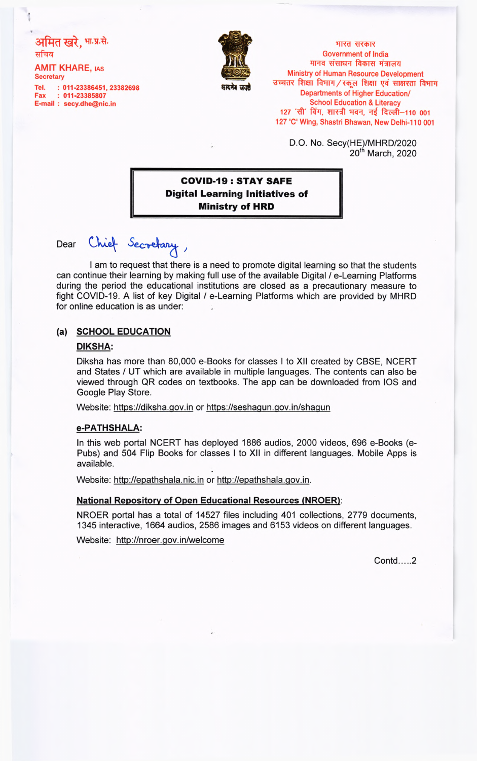# अमित खरे, भा.प्र.से. सचिव

AMIT KHARE, **ias Secretary**

**Tel. : 011-23386451, 23382698 Fax : 011-23385807 E-mail : [secy.dhe@nic.in](mailto:secy.dhe@nic.in)**



**HRd HYDIT Government of India मानव संसाधन विकास मंत्रालय Ministry of Human Resource Development**  $\frac{1}{2}$  उच्चतर शिक्षा विभाग / स्कूल शिक्षा एवं साक्षरता विभाग **Departments of Higher Education/ School Education & Literacy** 127 'सी' विंग, शास्त्री भवन, नई दिल्ली–110 001 **127 'C1 Wing, Shastri Bhawan, New Delhi-110 001**

> D.O. No. Secy(HE)/MHRD/2020 20<sup>th</sup> March, 2020

## **COVID-19: STAY SAFE Digital Learning Initiatives of Ministry of HRD**

Dear

Chief Secretary,

I am to request that there is a need to promote digital learning so that the students can continue their learning by making full use of the available Digital / e-Learning Platforms during the period the educational institutions are closed as a precautionary measure to fight COVID-19. A list of key Digital / e-Learning Platforms which are provided by MHRD for online education is as under:

### **(a) SCHOOL EDUCATION**

#### **DIKSHA:**

Diksha has more than 80,000 e-Books for classes I to XII created by CBSE, NCERT and States / UT which are available in multiple languages. The contents can also be viewed through QR codes on textbooks. The app can be downloaded from IOS and Google Play Store.

Website: <https://diksha.qov.in>or<https://seshaqun.qov.in/shaqun>

### **e-PATHSHALA:**

In this web portal NCERT has deployed 1886 audios, 2000 videos, 696 e-Books (e-Pubs) and 504 Flip Books for classes I to XII in different languages. Mobile Apps is available.

Website: <http://epathshala.nic.in> or [http://epathshala.qov.in.](http://epathshala.qov.in)

### **National Repository of Open Educational Resources (NROER):**

NROER portal has a total of 14527 files including 401 collections, 2779 documents, 1345 interactive, 1664 audios, 2586 images and 6153 videos on different languages.

Website: <http://nroer.qov.in/welcome>

Contd.... 2